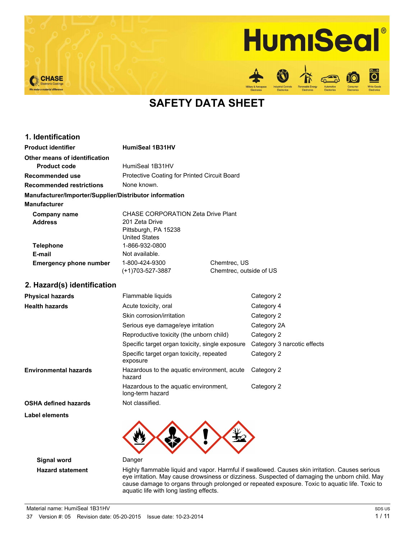# **HumiSeal**

**D** 

Vhite God<br>Electronii



**SAFETY DATA SHEET**

| 1. Identification                                      |                                              |                         |  |
|--------------------------------------------------------|----------------------------------------------|-------------------------|--|
| <b>Product identifier</b>                              | <b>HumiSeal 1B31HV</b>                       |                         |  |
| Other means of identification                          |                                              |                         |  |
| <b>Product code</b>                                    | HumiSeal 1B31HV                              |                         |  |
| Recommended use                                        | Protective Coating for Printed Circuit Board |                         |  |
| <b>Recommended restrictions</b>                        | None known.                                  |                         |  |
| Manufacturer/Importer/Supplier/Distributor information |                                              |                         |  |
| <b>Manufacturer</b>                                    |                                              |                         |  |
| Company name                                           | CHASE CORPORATION Zeta Drive Plant           |                         |  |
| <b>Address</b>                                         | 201 Zeta Drive                               |                         |  |
|                                                        | Pittsburgh, PA 15238                         |                         |  |
|                                                        | <b>United States</b>                         |                         |  |
| <b>Telephone</b>                                       | 1-866-932-0800                               |                         |  |
| E-mail                                                 | Not available.                               |                         |  |
| <b>Emergency phone number</b>                          | 1-800-424-9300                               | Chemtrec, US            |  |
|                                                        | (+1)703-527-3887                             | Chemtrec, outside of US |  |
| 2. Hazard(s) identification                            |                                              |                         |  |
| <b>Physical hazards</b>                                | Flammable liquids<br>Category 2              |                         |  |
| <b>Health hazards</b>                                  | Acute toxicity, oral                         | Category 4              |  |
|                                                        |                                              |                         |  |

|                       | Skin corrosion/irritation                                 | Category 2                  |
|-----------------------|-----------------------------------------------------------|-----------------------------|
|                       | Serious eye damage/eye irritation                         | Category 2A                 |
|                       | Reproductive toxicity (the unborn child)                  | Category 2                  |
|                       | Specific target organ toxicity, single exposure           | Category 3 narcotic effects |
|                       | Specific target organ toxicity, repeated<br>exposure      | Category 2                  |
| Environmental hazards | Hazardous to the aquatic environment, acute<br>hazard     | Category 2                  |
|                       | Hazardous to the aquatic environment,<br>long-term hazard | Category 2                  |
| OSHA defined hazards  | Not classified.                                           |                             |
|                       |                                                           |                             |

**Label elements**



**Signal word** Danger

**Hazard statement** Highly flammable liquid and vapor. Harmful if swallowed. Causes skin irritation. Causes serious eye irritation. May cause drowsiness or dizziness. Suspected of damaging the unborn child. May cause damage to organs through prolonged or repeated exposure. Toxic to aquatic life. Toxic to aquatic life with long lasting effects.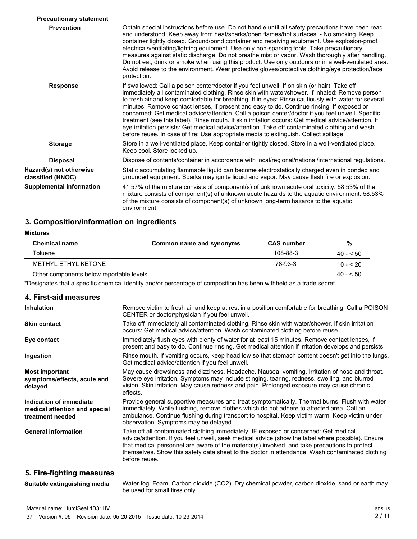| <b>Precautionary statement</b>               |                                                                                                                                                                                                                                                                                                                                                                                                                                                                                                                                                                                                                                                                                                                                                                                                              |
|----------------------------------------------|--------------------------------------------------------------------------------------------------------------------------------------------------------------------------------------------------------------------------------------------------------------------------------------------------------------------------------------------------------------------------------------------------------------------------------------------------------------------------------------------------------------------------------------------------------------------------------------------------------------------------------------------------------------------------------------------------------------------------------------------------------------------------------------------------------------|
| <b>Prevention</b>                            | Obtain special instructions before use. Do not handle until all safety precautions have been read<br>and understood. Keep away from heat/sparks/open flames/hot surfaces. - No smoking. Keep<br>container tightly closed. Ground/bond container and receiving equipment. Use explosion-proof<br>electrical/ventilating/lighting equipment. Use only non-sparking tools. Take precautionary<br>measures against static discharge. Do not breathe mist or vapor. Wash thoroughly after handling.<br>Do not eat, drink or smoke when using this product. Use only outdoors or in a well-ventilated area.<br>Avoid release to the environment. Wear protective gloves/protective clothing/eye protection/face<br>protection.                                                                                     |
| <b>Response</b>                              | If swallowed: Call a poison center/doctor if you feel unwell. If on skin (or hair): Take off<br>immediately all contaminated clothing. Rinse skin with water/shower. If inhaled: Remove person<br>to fresh air and keep comfortable for breathing. If in eyes: Rinse cautiously with water for several<br>minutes. Remove contact lenses, if present and easy to do. Continue rinsing. If exposed or<br>concerned: Get medical advice/attention. Call a poison center/doctor if you feel unwell. Specific<br>treatment (see this label). Rinse mouth. If skin irritation occurs: Get medical advice/attention. If<br>eye irritation persists: Get medical advice/attention. Take off contaminated clothing and wash<br>before reuse. In case of fire: Use appropriate media to extinguish. Collect spillage. |
| <b>Storage</b>                               | Store in a well-ventilated place. Keep container tightly closed. Store in a well-ventilated place.<br>Keep cool. Store locked up.                                                                                                                                                                                                                                                                                                                                                                                                                                                                                                                                                                                                                                                                            |
| <b>Disposal</b>                              | Dispose of contents/container in accordance with local/regional/national/international regulations.                                                                                                                                                                                                                                                                                                                                                                                                                                                                                                                                                                                                                                                                                                          |
| Hazard(s) not otherwise<br>classified (HNOC) | Static accumulating flammable liquid can become electrostatically charged even in bonded and<br>grounded equipment. Sparks may ignite liquid and vapor. May cause flash fire or explosion.                                                                                                                                                                                                                                                                                                                                                                                                                                                                                                                                                                                                                   |
| <b>Supplemental information</b>              | 41.57% of the mixture consists of component(s) of unknown acute oral toxicity. 58.53% of the<br>mixture consists of component(s) of unknown acute hazards to the aquatic environment. 58.53%<br>of the mixture consists of component(s) of unknown long-term hazards to the aquatic<br>environment.                                                                                                                                                                                                                                                                                                                                                                                                                                                                                                          |

## **3. Composition/information on ingredients**

| Mixture: |  |
|----------|--|
|----------|--|

| <b>Chemical name</b>                     | Common name and synonyms | <b>CAS number</b> | %          |
|------------------------------------------|--------------------------|-------------------|------------|
| Toluene                                  |                          | 108-88-3          | $40 - 50$  |
| METHYL ETHYL KETONE                      |                          | 78-93-3           | $10 - 520$ |
| Other components below reportable levels |                          |                   | $40 - 50$  |

\*Designates that a specific chemical identity and/or percentage of composition has been withheld as a trade secret.

## **4. First-aid measures**

| <b>Inhalation</b>                                                            | Remove victim to fresh air and keep at rest in a position comfortable for breathing. Call a POISON<br>CENTER or doctor/physician if you feel unwell.                                                                                                                                                                                                                                                           |
|------------------------------------------------------------------------------|----------------------------------------------------------------------------------------------------------------------------------------------------------------------------------------------------------------------------------------------------------------------------------------------------------------------------------------------------------------------------------------------------------------|
| <b>Skin contact</b>                                                          | Take off immediately all contaminated clothing. Rinse skin with water/shower. If skin irritation<br>occurs: Get medical advice/attention. Wash contaminated clothing before reuse.                                                                                                                                                                                                                             |
| Eye contact                                                                  | Immediately flush eyes with plenty of water for at least 15 minutes. Remove contact lenses, if<br>present and easy to do. Continue rinsing. Get medical attention if irritation develops and persists.                                                                                                                                                                                                         |
| Ingestion                                                                    | Rinse mouth. If vomiting occurs, keep head low so that stomach content doesn't get into the lungs.<br>Get medical advice/attention if you feel unwell.                                                                                                                                                                                                                                                         |
| <b>Most important</b><br>symptoms/effects, acute and<br>delayed              | May cause drowsiness and dizziness. Headache. Nausea, vomiting. Irritation of nose and throat.<br>Severe eye irritation. Symptoms may include stinging, tearing, redness, swelling, and blurred<br>vision. Skin irritation. May cause redness and pain. Prolonged exposure may cause chronic<br>effects.                                                                                                       |
| Indication of immediate<br>medical attention and special<br>treatment needed | Provide general supportive measures and treat symptomatically. Thermal burns: Flush with water<br>immediately. While flushing, remove clothes which do not adhere to affected area. Call an<br>ambulance. Continue flushing during transport to hospital. Keep victim warm. Keep victim under<br>observation. Symptoms may be delayed.                                                                         |
| <b>General information</b>                                                   | Take off all contaminated clothing immediately. IF exposed or concerned: Get medical<br>advice/attention. If you feel unwell, seek medical advice (show the label where possible). Ensure<br>that medical personnel are aware of the material(s) involved, and take precautions to protect<br>themselves. Show this safety data sheet to the doctor in attendance. Wash contaminated clothing<br>before reuse. |
| 5 Fire-finhting measures                                                     |                                                                                                                                                                                                                                                                                                                                                                                                                |

## **5. Fire-fighting measures**

| Suitable extinguishing media | Water fog. Foam. Carbon dioxide (CO2). Dry chemical powder, carbon dioxide, sand or earth may |
|------------------------------|-----------------------------------------------------------------------------------------------|
|                              | be used for small fires only.                                                                 |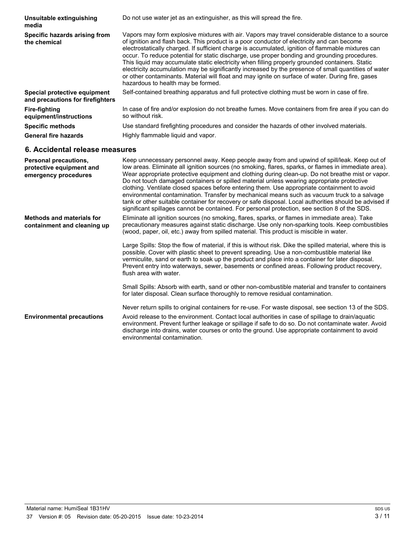| Unsuitable extinguishing<br>media                                | Do not use water jet as an extinguisher, as this will spread the fire.                                                                                                                                                                                                                                                                                                                                                                                                                                                                                                                                                                                                                                                                                      |
|------------------------------------------------------------------|-------------------------------------------------------------------------------------------------------------------------------------------------------------------------------------------------------------------------------------------------------------------------------------------------------------------------------------------------------------------------------------------------------------------------------------------------------------------------------------------------------------------------------------------------------------------------------------------------------------------------------------------------------------------------------------------------------------------------------------------------------------|
| Specific hazards arising from<br>the chemical                    | Vapors may form explosive mixtures with air. Vapors may travel considerable distance to a source<br>of ignition and flash back. This product is a poor conductor of electricity and can become<br>electrostatically charged. If sufficient charge is accumulated, ignition of flammable mixtures can<br>occur. To reduce potential for static discharge, use proper bonding and grounding procedures.<br>This liquid may accumulate static electricity when filling properly grounded containers. Static<br>electricity accumulation may be significantly increased by the presence of small quantities of water<br>or other contaminants. Material will float and may ignite on surface of water. During fire, gases<br>hazardous to health may be formed. |
| Special protective equipment<br>and precautions for firefighters | Self-contained breathing apparatus and full protective clothing must be worn in case of fire.                                                                                                                                                                                                                                                                                                                                                                                                                                                                                                                                                                                                                                                               |
| <b>Fire-fighting</b><br>equipment/instructions                   | In case of fire and/or explosion do not breathe fumes. Move containers from fire area if you can do<br>so without risk.                                                                                                                                                                                                                                                                                                                                                                                                                                                                                                                                                                                                                                     |
| <b>Specific methods</b>                                          | Use standard firefighting procedures and consider the hazards of other involved materials.                                                                                                                                                                                                                                                                                                                                                                                                                                                                                                                                                                                                                                                                  |
| <b>General fire hazards</b>                                      | Highly flammable liquid and vapor.                                                                                                                                                                                                                                                                                                                                                                                                                                                                                                                                                                                                                                                                                                                          |

# **6. Accidental release measures**

| <b>Personal precautions,</b><br>protective equipment and<br>emergency procedures | Keep unnecessary personnel away. Keep people away from and upwind of spill/leak. Keep out of<br>low areas. Eliminate all ignition sources (no smoking, flares, sparks, or flames in immediate area).<br>Wear appropriate protective equipment and clothing during clean-up. Do not breathe mist or vapor.<br>Do not touch damaged containers or spilled material unless wearing appropriate protective<br>clothing. Ventilate closed spaces before entering them. Use appropriate containment to avoid<br>environmental contamination. Transfer by mechanical means such as vacuum truck to a salvage<br>tank or other suitable container for recovery or safe disposal. Local authorities should be advised if<br>significant spillages cannot be contained. For personal protection, see section 8 of the SDS. |
|----------------------------------------------------------------------------------|------------------------------------------------------------------------------------------------------------------------------------------------------------------------------------------------------------------------------------------------------------------------------------------------------------------------------------------------------------------------------------------------------------------------------------------------------------------------------------------------------------------------------------------------------------------------------------------------------------------------------------------------------------------------------------------------------------------------------------------------------------------------------------------------------------------|
| <b>Methods and materials for</b><br>containment and cleaning up                  | Eliminate all ignition sources (no smoking, flares, sparks, or flames in immediate area). Take<br>precautionary measures against static discharge. Use only non-sparking tools. Keep combustibles<br>(wood, paper, oil, etc.) away from spilled material. This product is miscible in water.                                                                                                                                                                                                                                                                                                                                                                                                                                                                                                                     |
|                                                                                  | Large Spills: Stop the flow of material, if this is without risk. Dike the spilled material, where this is<br>possible. Cover with plastic sheet to prevent spreading. Use a non-combustible material like<br>vermiculite, sand or earth to soak up the product and place into a container for later disposal.<br>Prevent entry into waterways, sewer, basements or confined areas. Following product recovery,<br>flush area with water.                                                                                                                                                                                                                                                                                                                                                                        |
|                                                                                  | Small Spills: Absorb with earth, sand or other non-combustible material and transfer to containers<br>for later disposal. Clean surface thoroughly to remove residual contamination.                                                                                                                                                                                                                                                                                                                                                                                                                                                                                                                                                                                                                             |
|                                                                                  | Never return spills to original containers for re-use. For waste disposal, see section 13 of the SDS.                                                                                                                                                                                                                                                                                                                                                                                                                                                                                                                                                                                                                                                                                                            |
| <b>Environmental precautions</b>                                                 | Avoid release to the environment. Contact local authorities in case of spillage to drain/aquatic<br>environment. Prevent further leakage or spillage if safe to do so. Do not contaminate water. Avoid<br>discharge into drains, water courses or onto the ground. Use appropriate containment to avoid<br>environmental contamination.                                                                                                                                                                                                                                                                                                                                                                                                                                                                          |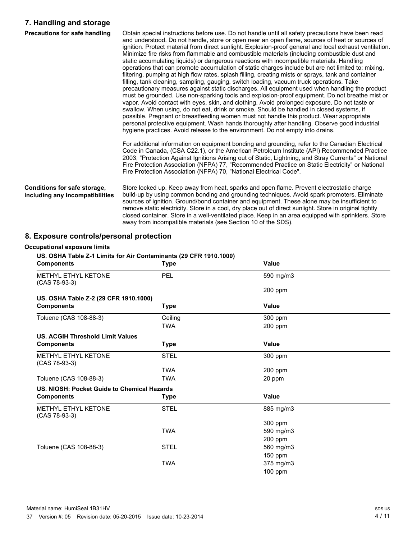## **7. Handling and storage**

| Precautions for safe handling                                   | Obtain special instructions before use. Do not handle until all safety precautions have been read<br>and understood. Do not handle, store or open near an open flame, sources of heat or sources of<br>ignition. Protect material from direct sunlight. Explosion-proof general and local exhaust ventilation.<br>Minimize fire risks from flammable and combustible materials (including combustible dust and<br>static accumulating liquids) or dangerous reactions with incompatible materials. Handling<br>operations that can promote accumulation of static charges include but are not limited to: mixing,<br>filtering, pumping at high flow rates, splash filling, creating mists or sprays, tank and container<br>filling, tank cleaning, sampling, gauging, switch loading, vacuum truck operations. Take<br>precautionary measures against static discharges. All equipment used when handling the product<br>must be grounded. Use non-sparking tools and explosion-proof equipment. Do not breathe mist or<br>vapor. Avoid contact with eyes, skin, and clothing. Avoid prolonged exposure. Do not taste or<br>swallow. When using, do not eat, drink or smoke. Should be handled in closed systems, if<br>possible. Pregnant or breastfeeding women must not handle this product. Wear appropriate<br>personal protective equipment. Wash hands thoroughly after handling. Observe good industrial<br>hygiene practices. Avoid release to the environment. Do not empty into drains.<br>For additional information on equipment bonding and grounding, refer to the Canadian Electrical |
|-----------------------------------------------------------------|--------------------------------------------------------------------------------------------------------------------------------------------------------------------------------------------------------------------------------------------------------------------------------------------------------------------------------------------------------------------------------------------------------------------------------------------------------------------------------------------------------------------------------------------------------------------------------------------------------------------------------------------------------------------------------------------------------------------------------------------------------------------------------------------------------------------------------------------------------------------------------------------------------------------------------------------------------------------------------------------------------------------------------------------------------------------------------------------------------------------------------------------------------------------------------------------------------------------------------------------------------------------------------------------------------------------------------------------------------------------------------------------------------------------------------------------------------------------------------------------------------------------------------------------------------------------------------------------------------|
|                                                                 | Code in Canada, (CSA C22.1), or the American Petroleum Institute (API) Recommended Practice<br>2003, "Protection Against Ignitions Arising out of Static, Lightning, and Stray Currents" or National<br>Fire Protection Association (NFPA) 77, "Recommended Practice on Static Electricity" or National<br>Fire Protection Association (NFPA) 70, "National Electrical Code".                                                                                                                                                                                                                                                                                                                                                                                                                                                                                                                                                                                                                                                                                                                                                                                                                                                                                                                                                                                                                                                                                                                                                                                                                          |
| Conditions for safe storage,<br>including any incompatibilities | Store locked up. Keep away from heat, sparks and open flame. Prevent electrostatic charge<br>build-up by using common bonding and grounding techniques. Avoid spark promoters. Eliminate<br>sources of ignition. Ground/bond container and equipment. These alone may be insufficient to<br>remove static electricity. Store in a cool, dry place out of direct sunlight. Store in original tightly<br>closed container. Store in a well-ventilated place. Keep in an area equipped with sprinklers. Store<br>away from incompatible materials (see Section 10 of the SDS).                                                                                                                                                                                                                                                                                                                                                                                                                                                                                                                                                                                                                                                                                                                                                                                                                                                                                                                                                                                                                            |

# **8. Exposure controls/personal protection**

## **Occupational exposure limits**

# **US. OSHA Table Z-1 Limits for Air Contaminants (29 CFR 1910.1000)**

| <b>Components</b>                           | <b>Type</b> | Value        |  |
|---------------------------------------------|-------------|--------------|--|
| METHYL ETHYL KETONE<br>(CAS 78-93-3)        | <b>PEL</b>  | 590 mg/m3    |  |
|                                             |             | 200 ppm      |  |
| US. OSHA Table Z-2 (29 CFR 1910.1000)       |             |              |  |
| <b>Components</b>                           | <b>Type</b> | <b>Value</b> |  |
| Toluene (CAS 108-88-3)                      | Ceiling     | 300 ppm      |  |
|                                             | TWA         | 200 ppm      |  |
| <b>US. ACGIH Threshold Limit Values</b>     |             |              |  |
| <b>Components</b>                           | <b>Type</b> | <b>Value</b> |  |
| METHYL ETHYL KETONE<br>(CAS 78-93-3)        | <b>STEL</b> | 300 ppm      |  |
|                                             | <b>TWA</b>  | 200 ppm      |  |
| Toluene (CAS 108-88-3)                      | <b>TWA</b>  | 20 ppm       |  |
| US. NIOSH: Pocket Guide to Chemical Hazards |             |              |  |
| <b>Components</b>                           | <b>Type</b> | <b>Value</b> |  |
| METHYL ETHYL KETONE<br>(CAS 78-93-3)        | <b>STEL</b> | 885 mg/m3    |  |
|                                             |             | 300 ppm      |  |
|                                             | <b>TWA</b>  | 590 mg/m3    |  |
|                                             |             | 200 ppm      |  |
| Toluene (CAS 108-88-3)                      | <b>STEL</b> | 560 mg/m3    |  |
|                                             |             | 150 ppm      |  |
|                                             | <b>TWA</b>  | 375 mg/m3    |  |
|                                             |             | 100 ppm      |  |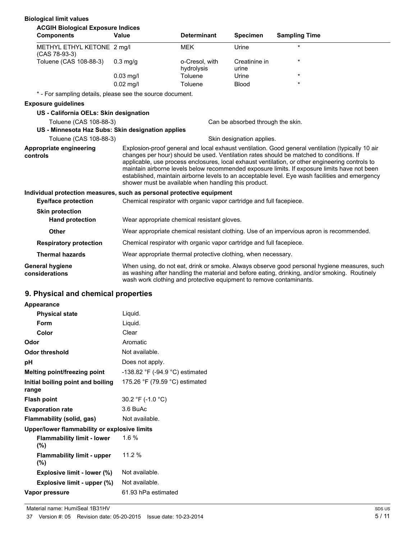| <b>Biological limit values</b>                                        |                                                                                                                                                                                                                                                                                                                                                                                                                                                                                                                                                            |                                                                      |                                   |                                                                                          |  |
|-----------------------------------------------------------------------|------------------------------------------------------------------------------------------------------------------------------------------------------------------------------------------------------------------------------------------------------------------------------------------------------------------------------------------------------------------------------------------------------------------------------------------------------------------------------------------------------------------------------------------------------------|----------------------------------------------------------------------|-----------------------------------|------------------------------------------------------------------------------------------|--|
| <b>ACGIH Biological Exposure Indices</b><br><b>Components</b>         | Value                                                                                                                                                                                                                                                                                                                                                                                                                                                                                                                                                      | <b>Determinant</b>                                                   | <b>Specimen</b>                   | <b>Sampling Time</b>                                                                     |  |
| METHYL ETHYL KETONE 2 mg/l<br>$(CAS 78-93-3)$                         |                                                                                                                                                                                                                                                                                                                                                                                                                                                                                                                                                            | <b>MEK</b>                                                           | Urine                             | $\star$                                                                                  |  |
| Toluene (CAS 108-88-3)                                                | $0.3$ mg/g                                                                                                                                                                                                                                                                                                                                                                                                                                                                                                                                                 | o-Cresol, with<br>hydrolysis                                         | Creatinine in<br>urine            | *                                                                                        |  |
|                                                                       | $0.03$ mg/l                                                                                                                                                                                                                                                                                                                                                                                                                                                                                                                                                | Toluene                                                              | Urine                             | $\star$                                                                                  |  |
|                                                                       | $0.02$ mg/l                                                                                                                                                                                                                                                                                                                                                                                                                                                                                                                                                | Toluene                                                              | <b>Blood</b>                      | $\star$                                                                                  |  |
| * - For sampling details, please see the source document.             |                                                                                                                                                                                                                                                                                                                                                                                                                                                                                                                                                            |                                                                      |                                   |                                                                                          |  |
| <b>Exposure quidelines</b>                                            |                                                                                                                                                                                                                                                                                                                                                                                                                                                                                                                                                            |                                                                      |                                   |                                                                                          |  |
| US - California OELs: Skin designation                                |                                                                                                                                                                                                                                                                                                                                                                                                                                                                                                                                                            |                                                                      |                                   |                                                                                          |  |
| Toluene (CAS 108-88-3)                                                |                                                                                                                                                                                                                                                                                                                                                                                                                                                                                                                                                            |                                                                      | Can be absorbed through the skin. |                                                                                          |  |
| US - Minnesota Haz Subs: Skin designation applies                     |                                                                                                                                                                                                                                                                                                                                                                                                                                                                                                                                                            |                                                                      |                                   |                                                                                          |  |
| Toluene (CAS 108-88-3)                                                |                                                                                                                                                                                                                                                                                                                                                                                                                                                                                                                                                            |                                                                      | Skin designation applies.         |                                                                                          |  |
| Appropriate engineering<br>controls                                   | Explosion-proof general and local exhaust ventilation. Good general ventilation (typically 10 air<br>changes per hour) should be used. Ventilation rates should be matched to conditions. If<br>applicable, use process enclosures, local exhaust ventilation, or other engineering controls to<br>maintain airborne levels below recommended exposure limits. If exposure limits have not been<br>established, maintain airborne levels to an acceptable level. Eye wash facilities and emergency<br>shower must be available when handling this product. |                                                                      |                                   |                                                                                          |  |
| Individual protection measures, such as personal protective equipment |                                                                                                                                                                                                                                                                                                                                                                                                                                                                                                                                                            |                                                                      |                                   |                                                                                          |  |
| Eye/face protection                                                   | Chemical respirator with organic vapor cartridge and full facepiece.                                                                                                                                                                                                                                                                                                                                                                                                                                                                                       |                                                                      |                                   |                                                                                          |  |
| <b>Skin protection</b><br><b>Hand protection</b>                      | Wear appropriate chemical resistant gloves.                                                                                                                                                                                                                                                                                                                                                                                                                                                                                                                |                                                                      |                                   |                                                                                          |  |
|                                                                       |                                                                                                                                                                                                                                                                                                                                                                                                                                                                                                                                                            |                                                                      |                                   |                                                                                          |  |
| <b>Other</b>                                                          |                                                                                                                                                                                                                                                                                                                                                                                                                                                                                                                                                            |                                                                      |                                   | Wear appropriate chemical resistant clothing. Use of an impervious apron is recommended. |  |
| <b>Respiratory protection</b>                                         |                                                                                                                                                                                                                                                                                                                                                                                                                                                                                                                                                            | Chemical respirator with organic vapor cartridge and full facepiece. |                                   |                                                                                          |  |
| <b>Thermal hazards</b>                                                | Wear appropriate thermal protective clothing, when necessary.                                                                                                                                                                                                                                                                                                                                                                                                                                                                                              |                                                                      |                                   |                                                                                          |  |
| <b>General hygiene</b><br>considerations                              | When using, do not eat, drink or smoke. Always observe good personal hygiene measures, such<br>as washing after handling the material and before eating, drinking, and/or smoking. Routinely                                                                                                                                                                                                                                                                                                                                                               |                                                                      |                                   |                                                                                          |  |

wash work clothing and protective equipment to remove contaminants.

# **9. Physical and chemical properties**

| Appearance                                   |                                 |
|----------------------------------------------|---------------------------------|
| <b>Physical state</b>                        | Liquid.                         |
| Form                                         | Liquid.                         |
| Color                                        | Clear                           |
| Odor                                         | Aromatic                        |
| <b>Odor threshold</b>                        | Not available.                  |
| рH                                           | Does not apply.                 |
| Melting point/freezing point                 | -138.82 °F (-94.9 °C) estimated |
| Initial boiling point and boiling<br>range   | 175.26 °F (79.59 °C) estimated  |
| <b>Flash point</b>                           | 30.2 °F (-1.0 °C)               |
| <b>Evaporation rate</b>                      | 3.6 BuAc                        |
| Flammability (solid, gas)                    | Not available.                  |
| Upper/lower flammability or explosive limits |                                 |
| <b>Flammability limit - lower</b><br>$(\% )$ | 1.6 $%$                         |
| <b>Flammability limit - upper</b><br>$(\%)$  | 11.2%                           |
| Explosive limit - lower (%)                  | Not available.                  |
| Explosive limit - upper (%)                  | Not available.                  |
| Vapor pressure                               | 61.93 hPa estimated             |
|                                              |                                 |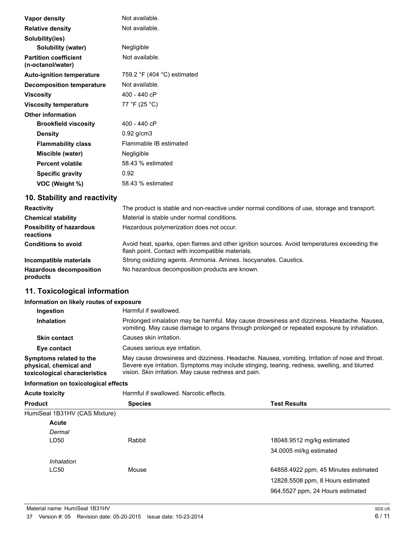| Vapor density                                     | Not available.                                |
|---------------------------------------------------|-----------------------------------------------|
| <b>Relative density</b>                           | Not available.                                |
| Solubility(ies)                                   |                                               |
| Solubility (water)                                | Negligible                                    |
| <b>Partition coefficient</b><br>(n-octanol/water) | Not available.                                |
| <b>Auto-ignition temperature</b>                  | 759.2 $\degree$ F (404 $\degree$ C) estimated |
| Decomposition temperature                         | Not available.                                |
| <b>Viscosity</b>                                  | 400 - 440 cP                                  |
| <b>Viscosity temperature</b>                      | 77 °F (25 °C)                                 |
| <b>Other information</b>                          |                                               |
| <b>Brookfield viscosity</b>                       | 400 - 440 cP                                  |
| <b>Density</b>                                    | $0.92$ g/cm3                                  |
| <b>Flammability class</b>                         | Flammable IB estimated                        |
| Miscible (water)                                  | Negligible                                    |
| <b>Percent volatile</b>                           | 58.43 % estimated                             |
| <b>Specific gravity</b>                           | 0.92                                          |
| VOC (Weight %)                                    | 58.43 % estimated                             |

# **10. Stability and reactivity**

| <b>Reactivity</b>                            | The product is stable and non-reactive under normal conditions of use, storage and transport.                                                     |
|----------------------------------------------|---------------------------------------------------------------------------------------------------------------------------------------------------|
| <b>Chemical stability</b>                    | Material is stable under normal conditions.                                                                                                       |
| <b>Possibility of hazardous</b><br>reactions | Hazardous polymerization does not occur.                                                                                                          |
| <b>Conditions to avoid</b>                   | Avoid heat, sparks, open flames and other ignition sources. Avoid temperatures exceeding the<br>flash point. Contact with incompatible materials. |
| Incompatible materials                       | Strong oxidizing agents. Ammonia. Amines. Isocyanates. Caustics.                                                                                  |
| <b>Hazardous decomposition</b><br>products   | No hazardous decomposition products are known.                                                                                                    |

# **11. Toxicological information**

#### **Information on likely routes of exposure**

| Ingestion                                                                          | Harmful if swallowed.                                                                                                                                                                                                                                   |
|------------------------------------------------------------------------------------|---------------------------------------------------------------------------------------------------------------------------------------------------------------------------------------------------------------------------------------------------------|
| <b>Inhalation</b>                                                                  | Prolonged inhalation may be harmful. May cause drowsiness and dizziness. Headache. Nausea,<br>vomiting. May cause damage to organs through prolonged or repeated exposure by inhalation.                                                                |
| <b>Skin contact</b>                                                                | Causes skin irritation.                                                                                                                                                                                                                                 |
| Eye contact                                                                        | Causes serious eve irritation.                                                                                                                                                                                                                          |
| Symptoms related to the<br>physical, chemical and<br>toxicological characteristics | May cause drowsiness and dizziness. Headache. Nausea, vomiting. Irritation of nose and throat.<br>Severe eye irritation. Symptoms may include stinging, tearing, redness, swelling, and blurred<br>vision. Skin irritation. May cause redness and pain. |

## **Information on toxicological effects**

| <b>Acute toxicity</b>            | Harmful if swallowed. Narcotic effects. |                                      |  |
|----------------------------------|-----------------------------------------|--------------------------------------|--|
| <b>Product</b><br><b>Species</b> |                                         | <b>Test Results</b>                  |  |
| HumiSeal 1B31HV (CAS Mixture)    |                                         |                                      |  |
| Acute                            |                                         |                                      |  |
| Dermal                           |                                         |                                      |  |
| LD50                             | Rabbit                                  | 18048.9512 mg/kg estimated           |  |
|                                  |                                         | 34.0005 ml/kg estimated              |  |
| Inhalation                       |                                         |                                      |  |
| <b>LC50</b>                      | Mouse                                   | 64858.4922 ppm, 45 Minutes estimated |  |
|                                  |                                         | 12828.5508 ppm, 8 Hours estimated    |  |
|                                  |                                         | 964.5527 ppm, 24 Hours estimated     |  |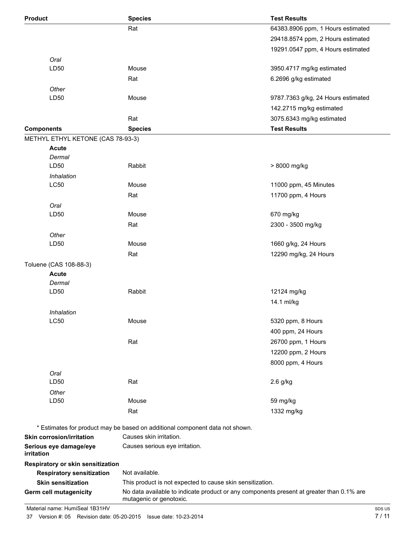| <b>Product</b>                              | <b>Species</b>                                                                           | <b>Test Results</b>                |
|---------------------------------------------|------------------------------------------------------------------------------------------|------------------------------------|
|                                             | Rat                                                                                      | 64383.8906 ppm, 1 Hours estimated  |
|                                             |                                                                                          | 29418.8574 ppm, 2 Hours estimated  |
|                                             |                                                                                          | 19291.0547 ppm, 4 Hours estimated  |
| Oral                                        |                                                                                          |                                    |
| LD50                                        | Mouse                                                                                    | 3950.4717 mg/kg estimated          |
|                                             | Rat                                                                                      | 6.2696 g/kg estimated              |
| Other                                       |                                                                                          |                                    |
| LD50                                        | Mouse                                                                                    | 9787.7363 g/kg, 24 Hours estimated |
|                                             |                                                                                          | 142.2715 mg/kg estimated           |
|                                             | Rat                                                                                      | 3075.6343 mg/kg estimated          |
| <b>Components</b>                           | <b>Species</b>                                                                           | <b>Test Results</b>                |
| METHYL ETHYL KETONE (CAS 78-93-3)           |                                                                                          |                                    |
| <b>Acute</b>                                |                                                                                          |                                    |
| Dermal                                      |                                                                                          |                                    |
| LD50                                        | Rabbit                                                                                   | > 8000 mg/kg                       |
| Inhalation                                  |                                                                                          |                                    |
| <b>LC50</b>                                 | Mouse                                                                                    | 11000 ppm, 45 Minutes              |
|                                             | Rat                                                                                      | 11700 ppm, 4 Hours                 |
| Oral                                        |                                                                                          |                                    |
| LD50                                        | Mouse                                                                                    | 670 mg/kg                          |
|                                             | Rat                                                                                      | 2300 - 3500 mg/kg                  |
| Other                                       |                                                                                          |                                    |
| LD50                                        | Mouse                                                                                    | 1660 g/kg, 24 Hours                |
|                                             | Rat                                                                                      | 12290 mg/kg, 24 Hours              |
| Toluene (CAS 108-88-3)                      |                                                                                          |                                    |
| <b>Acute</b>                                |                                                                                          |                                    |
| Dermal                                      |                                                                                          |                                    |
| LD50                                        | Rabbit                                                                                   | 12124 mg/kg                        |
|                                             |                                                                                          | 14.1 ml/kg                         |
| Inhalation                                  |                                                                                          |                                    |
| L <sub>C</sub> 50                           | Mouse                                                                                    | 5320 ppm, 8 Hours                  |
|                                             |                                                                                          | 400 ppm, 24 Hours                  |
|                                             | Rat                                                                                      | 26700 ppm, 1 Hours                 |
|                                             |                                                                                          | 12200 ppm, 2 Hours                 |
|                                             |                                                                                          | 8000 ppm, 4 Hours                  |
| Oral                                        |                                                                                          |                                    |
| LD50                                        | Rat                                                                                      | 2.6 g/kg                           |
| Other                                       |                                                                                          |                                    |
| LD50                                        | Mouse                                                                                    | 59 mg/kg                           |
|                                             | Rat                                                                                      | 1332 mg/kg                         |
|                                             |                                                                                          |                                    |
|                                             | * Estimates for product may be based on additional component data not shown.             |                                    |
| <b>Skin corrosion/irritation</b>            | Causes skin irritation.                                                                  |                                    |
| Serious eye damage/eye<br><i>irritation</i> | Causes serious eye irritation.                                                           |                                    |
| Respiratory or skin sensitization           |                                                                                          |                                    |
| <b>Respiratory sensitization</b>            | Not available.                                                                           |                                    |
| <b>Skin sensitization</b>                   | This product is not expected to cause skin sensitization.                                |                                    |
| Germ cell mutagenicity                      | No data available to indicate product or any components present at greater than 0.1% are |                                    |
|                                             | mutagenic or genotoxic.                                                                  |                                    |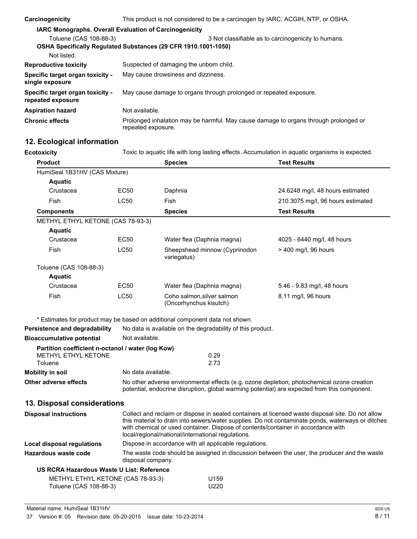| Carcinogenicity                                       | This product is not considered to be a carcinogen by IARC, ACGIH, NTP, or OSHA.                                       |  |  |
|-------------------------------------------------------|-----------------------------------------------------------------------------------------------------------------------|--|--|
|                                                       | <b>IARC Monographs. Overall Evaluation of Carcinogenicity</b>                                                         |  |  |
| Toluene (CAS 108-88-3)                                | 3 Not classifiable as to carcinogenicity to humans.<br>OSHA Specifically Regulated Substances (29 CFR 1910.1001-1050) |  |  |
| Not listed.                                           |                                                                                                                       |  |  |
| <b>Reproductive toxicity</b>                          | Suspected of damaging the unborn child.                                                                               |  |  |
| Specific target organ toxicity -<br>single exposure   | May cause drowsiness and dizziness.                                                                                   |  |  |
| Specific target organ toxicity -<br>repeated exposure | May cause damage to organs through prolonged or repeated exposure.                                                    |  |  |
| <b>Aspiration hazard</b>                              | Not available.                                                                                                        |  |  |
| <b>Chronic effects</b>                                | Prolonged inhalation may be harmful. May cause damage to organs through prolonged or<br>repeated exposure.            |  |  |

# **12. Ecological information**

| <b>Ecotoxicity</b>                                          |             | Toxic to aquatic life with long lasting effects. Accumulation in aquatic organisms is expected.                                                                                                                                                                                                                                                   |                                   |  |
|-------------------------------------------------------------|-------------|---------------------------------------------------------------------------------------------------------------------------------------------------------------------------------------------------------------------------------------------------------------------------------------------------------------------------------------------------|-----------------------------------|--|
| <b>Product</b>                                              |             | <b>Species</b>                                                                                                                                                                                                                                                                                                                                    | <b>Test Results</b>               |  |
| HumiSeal 1B31HV (CAS Mixture)                               |             |                                                                                                                                                                                                                                                                                                                                                   |                                   |  |
| <b>Aquatic</b>                                              |             |                                                                                                                                                                                                                                                                                                                                                   |                                   |  |
| Crustacea                                                   | EC50        | Daphnia                                                                                                                                                                                                                                                                                                                                           | 24.6248 mg/l, 48 hours estimated  |  |
| Fish                                                        | <b>LC50</b> | Fish                                                                                                                                                                                                                                                                                                                                              | 210.3075 mg/l, 96 hours estimated |  |
| <b>Components</b>                                           |             | <b>Species</b>                                                                                                                                                                                                                                                                                                                                    | <b>Test Results</b>               |  |
| METHYL ETHYL KETONE (CAS 78-93-3)                           |             |                                                                                                                                                                                                                                                                                                                                                   |                                   |  |
| <b>Aquatic</b>                                              |             |                                                                                                                                                                                                                                                                                                                                                   |                                   |  |
| Crustacea                                                   | <b>EC50</b> | Water flea (Daphnia magna)                                                                                                                                                                                                                                                                                                                        | 4025 - 6440 mg/l, 48 hours        |  |
| Fish                                                        | <b>LC50</b> | Sheepshead minnow (Cyprinodon<br>variegatus)                                                                                                                                                                                                                                                                                                      | $>$ 400 mg/l, 96 hours            |  |
| Toluene (CAS 108-88-3)                                      |             |                                                                                                                                                                                                                                                                                                                                                   |                                   |  |
| <b>Aquatic</b>                                              |             |                                                                                                                                                                                                                                                                                                                                                   |                                   |  |
| Crustacea                                                   | EC50        | Water flea (Daphnia magna)                                                                                                                                                                                                                                                                                                                        | 5.46 - 9.83 mg/l, 48 hours        |  |
| Fish                                                        | <b>LC50</b> | Coho salmon, silver salmon<br>(Oncorhynchus kisutch)                                                                                                                                                                                                                                                                                              | 8.11 mg/l, 96 hours               |  |
|                                                             |             | * Estimates for product may be based on additional component data not shown.                                                                                                                                                                                                                                                                      |                                   |  |
| Persistence and degradability                               |             | No data is available on the degradability of this product.                                                                                                                                                                                                                                                                                        |                                   |  |
| <b>Bioaccumulative potential</b>                            |             | Not available.                                                                                                                                                                                                                                                                                                                                    |                                   |  |
| Partition coefficient n-octanol / water (log Kow)           |             |                                                                                                                                                                                                                                                                                                                                                   |                                   |  |
| <b>METHYL ETHYL KETONE</b>                                  |             | 0.29                                                                                                                                                                                                                                                                                                                                              |                                   |  |
| Toluene                                                     |             | 2.73                                                                                                                                                                                                                                                                                                                                              |                                   |  |
| <b>Mobility in soil</b>                                     |             | No data available.                                                                                                                                                                                                                                                                                                                                |                                   |  |
| Other adverse effects                                       |             | No other adverse environmental effects (e.g. ozone depletion, photochemical ozone creation<br>potential, endocrine disruption, global warming potential) are expected from this component.                                                                                                                                                        |                                   |  |
| 13. Disposal considerations                                 |             |                                                                                                                                                                                                                                                                                                                                                   |                                   |  |
| <b>Disposal instructions</b>                                |             | Collect and reclaim or dispose in sealed containers at licensed waste disposal site. Do not allow<br>this material to drain into sewers/water supplies. Do not contaminate ponds, waterways or ditches<br>with chemical or used container. Dispose of contents/container in accordance with<br>local/regional/national/international regulations. |                                   |  |
| <b>Local disposal regulations</b>                           |             | Dispose in accordance with all applicable regulations.                                                                                                                                                                                                                                                                                            |                                   |  |
| Hazardous waste code                                        |             | The waste code should be assigned in discussion between the user, the producer and the waste<br>disposal company.                                                                                                                                                                                                                                 |                                   |  |
| US RCRA Hazardous Waste U List: Reference                   |             |                                                                                                                                                                                                                                                                                                                                                   |                                   |  |
| METHYL ETHYL KETONE (CAS 78-93-3)<br>Toluene (CAS 108-88-3) |             | U159<br>U220                                                                                                                                                                                                                                                                                                                                      |                                   |  |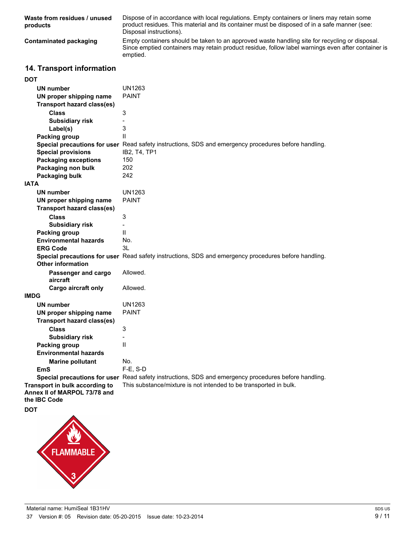| Waste from residues / unused<br>products | Dispose of in accordance with local regulations. Empty containers or liners may retain some<br>product residues. This material and its container must be disposed of in a safe manner (see:<br>Disposal instructions). |
|------------------------------------------|------------------------------------------------------------------------------------------------------------------------------------------------------------------------------------------------------------------------|
| Contaminated packaging                   | Empty containers should be taken to an approved waste handling site for recycling or disposal.<br>Since emptied containers may retain product residue, follow label warnings even after container is<br>emptied.       |

# **14. Transport information**

| DOT                                                                            |                                                                                                      |
|--------------------------------------------------------------------------------|------------------------------------------------------------------------------------------------------|
| <b>UN number</b>                                                               | UN1263                                                                                               |
| UN proper shipping name                                                        | <b>PAINT</b>                                                                                         |
| <b>Transport hazard class(es)</b>                                              |                                                                                                      |
| <b>Class</b>                                                                   | 3                                                                                                    |
| <b>Subsidiary risk</b>                                                         | $\overline{a}$                                                                                       |
| Label(s)                                                                       | 3                                                                                                    |
| <b>Packing group</b>                                                           | $\mathsf{II}$                                                                                        |
|                                                                                | Special precautions for user Read safety instructions, SDS and emergency procedures before handling. |
| <b>Special provisions</b>                                                      | IB2, T4, TP1                                                                                         |
| <b>Packaging exceptions</b>                                                    | 150                                                                                                  |
| Packaging non bulk                                                             | 202                                                                                                  |
| <b>Packaging bulk</b>                                                          | 242                                                                                                  |
| <b>IATA</b>                                                                    |                                                                                                      |
| <b>UN number</b>                                                               | <b>UN1263</b>                                                                                        |
| UN proper shipping name                                                        | <b>PAINT</b>                                                                                         |
| <b>Transport hazard class(es)</b>                                              |                                                                                                      |
| <b>Class</b>                                                                   | $\ensuremath{\mathsf{3}}$                                                                            |
| <b>Subsidiary risk</b>                                                         | $\overline{\phantom{0}}$                                                                             |
| <b>Packing group</b>                                                           | $\mathbf{H}$                                                                                         |
| <b>Environmental hazards</b>                                                   | No.                                                                                                  |
| <b>ERG Code</b>                                                                | 3L                                                                                                   |
| <b>Other information</b>                                                       | Special precautions for user Read safety instructions, SDS and emergency procedures before handling. |
| Passenger and cargo<br>aircraft                                                | Allowed.                                                                                             |
| Cargo aircraft only                                                            | Allowed.                                                                                             |
| IMDG                                                                           |                                                                                                      |
| <b>UN number</b>                                                               | <b>UN1263</b>                                                                                        |
| UN proper shipping name                                                        | <b>PAINT</b>                                                                                         |
| <b>Transport hazard class(es)</b>                                              |                                                                                                      |
| <b>Class</b>                                                                   | 3                                                                                                    |
| <b>Subsidiary risk</b>                                                         |                                                                                                      |
| <b>Packing group</b>                                                           | $\mathsf{II}$                                                                                        |
| <b>Environmental hazards</b>                                                   |                                                                                                      |
| <b>Marine pollutant</b>                                                        | No.                                                                                                  |
| EmS                                                                            | $F-E$ , S-D                                                                                          |
|                                                                                | Special precautions for user Read safety instructions, SDS and emergency procedures before handling. |
| Transport in bulk according to<br>Annex II of MARPOL 73/78 and<br>the IBC Code | This substance/mixture is not intended to be transported in bulk.                                    |
| DOT                                                                            |                                                                                                      |
|                                                                                |                                                                                                      |

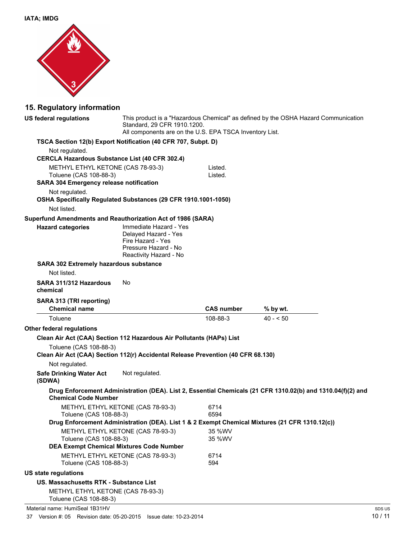

# **15. Regulatory information**

| US federal regulations                                                                                     | This product is a "Hazardous Chemical" as defined by the OSHA Hazard Communication<br>Standard, 29 CFR 1910.1200.<br>All components are on the U.S. EPA TSCA Inventory List. |                    |                                                                                                             |
|------------------------------------------------------------------------------------------------------------|------------------------------------------------------------------------------------------------------------------------------------------------------------------------------|--------------------|-------------------------------------------------------------------------------------------------------------|
| TSCA Section 12(b) Export Notification (40 CFR 707, Subpt. D)                                              |                                                                                                                                                                              |                    |                                                                                                             |
| Not regulated.                                                                                             |                                                                                                                                                                              |                    |                                                                                                             |
| <b>CERCLA Hazardous Substance List (40 CFR 302.4)</b>                                                      |                                                                                                                                                                              |                    |                                                                                                             |
| METHYL ETHYL KETONE (CAS 78-93-3)<br>Toluene (CAS 108-88-3)                                                |                                                                                                                                                                              | Listed.<br>Listed. |                                                                                                             |
| <b>SARA 304 Emergency release notification</b>                                                             |                                                                                                                                                                              |                    |                                                                                                             |
| Not regulated.                                                                                             |                                                                                                                                                                              |                    |                                                                                                             |
| OSHA Specifically Regulated Substances (29 CFR 1910.1001-1050)                                             |                                                                                                                                                                              |                    |                                                                                                             |
| Not listed.                                                                                                |                                                                                                                                                                              |                    |                                                                                                             |
| Superfund Amendments and Reauthorization Act of 1986 (SARA)                                                |                                                                                                                                                                              |                    |                                                                                                             |
| <b>Hazard categories</b>                                                                                   | Immediate Hazard - Yes<br>Delayed Hazard - Yes<br>Fire Hazard - Yes<br>Pressure Hazard - No<br>Reactivity Hazard - No                                                        |                    |                                                                                                             |
| <b>SARA 302 Extremely hazardous substance</b>                                                              |                                                                                                                                                                              |                    |                                                                                                             |
| Not listed.                                                                                                |                                                                                                                                                                              |                    |                                                                                                             |
| SARA 311/312 Hazardous<br>chemical                                                                         | No                                                                                                                                                                           |                    |                                                                                                             |
| SARA 313 (TRI reporting)<br><b>Chemical name</b>                                                           |                                                                                                                                                                              | <b>CAS number</b>  | % by wt.                                                                                                    |
| Toluene                                                                                                    |                                                                                                                                                                              | 108-88-3           | $40 - 50$                                                                                                   |
| Other federal regulations                                                                                  |                                                                                                                                                                              |                    |                                                                                                             |
| Clean Air Act (CAA) Section 112 Hazardous Air Pollutants (HAPs) List                                       |                                                                                                                                                                              |                    |                                                                                                             |
| Toluene (CAS 108-88-3)<br>Clean Air Act (CAA) Section 112(r) Accidental Release Prevention (40 CFR 68.130) |                                                                                                                                                                              |                    |                                                                                                             |
| Not regulated.                                                                                             |                                                                                                                                                                              |                    |                                                                                                             |
| <b>Safe Drinking Water Act</b><br>(SDWA)                                                                   | Not regulated.                                                                                                                                                               |                    |                                                                                                             |
| <b>Chemical Code Number</b>                                                                                |                                                                                                                                                                              |                    | Drug Enforcement Administration (DEA). List 2, Essential Chemicals (21 CFR 1310.02(b) and 1310.04(f)(2) and |
| METHYL ETHYL KETONE (CAS 78-93-3)<br>Toluene (CAS 108-88-3)                                                |                                                                                                                                                                              | 6714<br>6594       |                                                                                                             |
|                                                                                                            |                                                                                                                                                                              |                    | Drug Enforcement Administration (DEA). List 1 & 2 Exempt Chemical Mixtures (21 CFR 1310.12(c))              |
| METHYL ETHYL KETONE (CAS 78-93-3)                                                                          |                                                                                                                                                                              | 35 %WV             |                                                                                                             |
| Toluene (CAS 108-88-3)                                                                                     |                                                                                                                                                                              | 35 %WV             |                                                                                                             |
| <b>DEA Exempt Chemical Mixtures Code Number</b>                                                            |                                                                                                                                                                              |                    |                                                                                                             |
| METHYL ETHYL KETONE (CAS 78-93-3)<br>Toluene (CAS 108-88-3)                                                |                                                                                                                                                                              | 6714<br>594        |                                                                                                             |
| <b>US state regulations</b>                                                                                |                                                                                                                                                                              |                    |                                                                                                             |
| US. Massachusetts RTK - Substance List                                                                     |                                                                                                                                                                              |                    |                                                                                                             |
| METHYL ETHYL KETONE (CAS 78-93-3)<br>Toluene (CAS 108-88-3)                                                |                                                                                                                                                                              |                    |                                                                                                             |